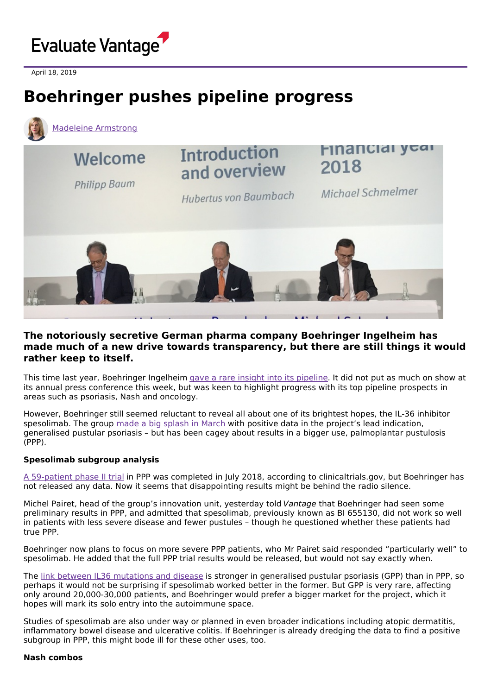

April 18, 2019

# **Boehringer pushes pipeline progress**



# **The notoriously secretive German pharma company Boehringer Ingelheim has made much of a new drive towards transparency, but there are still things it would rather keep to itself.**

This time last year, Boehringer Ingelheim gave a rare insight into its [pipeline](https://www.evaluate.com/vantage/articles/interviews/boehringer-cracks-lab-door-reveals-cancer-immunology-and-neurology). It did not put as much on show at its annual press conference this week, but was keen to highlight progress with its top pipeline prospects in areas such as psoriasis, Nash and oncology.

However, Boehringer still seemed reluctant to reveal all about one of its brightest hopes, the IL-36 inhibitor spesolimab. The group made a big [splash](https://www.boehringer-ingelheim.com/press-release/nejm-il-36-phase-1-gpp-data) in March with positive data in the project's lead indication, generalised pustular psoriasis – but has been cagey about results in a bigger use, palmoplantar pustulosis (PPP).

# **Spesolimab subgroup analysis**

A [59-patient](https://clinicaltrials.gov/ct2/show/NCT03135548) phase II trial in PPP was completed in July 2018, according to clinicaltrials.gov, but Boehringer has not released any data. Now it seems that disappointing results might be behind the radio silence.

Michel Pairet, head of the group's innovation unit, yesterday told Vantage that Boehringer had seen some preliminary results in PPP, and admitted that spesolimab, previously known as BI 655130, did not work so well in patients with less severe disease and fewer pustules – though he questioned whether these patients had true PPP.

Boehringer now plans to focus on more severe PPP patients, who Mr Pairet said responded "particularly well" to spesolimab. He added that the full PPP trial results would be released, but would not say exactly when.

The link between IL36 [mutations](https://www.jacionline.org/article/S0091-6749(18)31039-X/pdf) and disease is stronger in generalised pustular psoriasis (GPP) than in PPP, so perhaps it would not be surprising if spesolimab worked better in the former. But GPP is very rare, affecting only around 20,000-30,000 patients, and Boehringer would prefer a bigger market for the project, which it hopes will mark its solo entry into the autoimmune space.

Studies of spesolimab are also under way or planned in even broader indications including atopic dermatitis, inflammatory bowel disease and ulcerative colitis. If Boehringer is already dredging the data to find a positive subgroup in PPP, this might bode ill for these other uses, too.

#### **Nash combos**